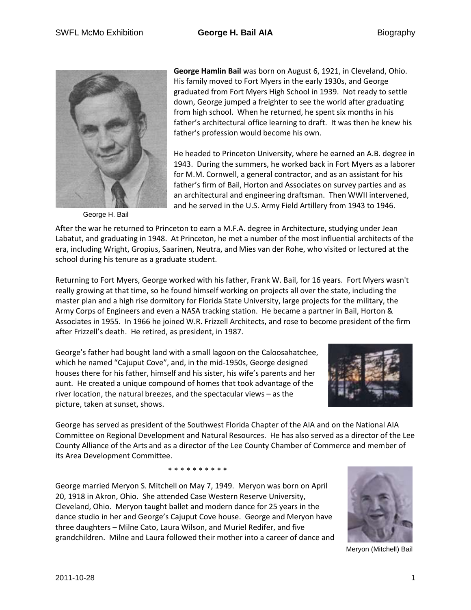

George H. Bail

**George Hamlin Bail** was born on August 6, 1921, in Cleveland, Ohio. His family moved to Fort Myers in the early 1930s, and George graduated from Fort Myers High School in 1939. Not ready to settle down, George jumped a freighter to see the world after graduating from high school. When he returned, he spent six months in his father's architectural office learning to draft. It was then he knew his father's profession would become his own.

He headed to Princeton University, where he earned an A.B. degree in 1943. During the summers, he worked back in Fort Myers as a laborer for M.M. Cornwell, a general contractor, and as an assistant for his father's firm of Bail, Horton and Associates on survey parties and as an architectural and engineering draftsman. Then WWII intervened, and he served in the U.S. Army Field Artillery from 1943 to 1946.

After the war he returned to Princeton to earn a M.F.A. degree in Architecture, studying under Jean Labatut, and graduating in 1948. At Princeton, he met a number of the most influential architects of the era, including Wright, Gropius, Saarinen, Neutra, and Mies van der Rohe, who visited or lectured at the school during his tenure as a graduate student.

Returning to Fort Myers, George worked with his father, Frank W. Bail, for 16 years. Fort Myers wasn't really growing at that time, so he found himself working on projects all over the state, including the master plan and a high rise dormitory for Florida State University, large projects for the military, the Army Corps of Engineers and even a NASA tracking station. He became a partner in Bail, Horton & Associates in 1955. In 1966 he joined W.R. Frizzell Architects, and rose to become president of the firm after Frizzell's death. He retired, as president, in 1987.

George's father had bought land with a small lagoon on the Caloosahatchee, which he named "Cajuput Cove", and, in the mid-1950s, George designed houses there for his father, himself and his sister, his wife's parents and her aunt. He created a unique compound of homes that took advantage of the river location, the natural breezes, and the spectacular views – as the picture, taken at sunset, shows.



George has served as president of the Southwest Florida Chapter of the AIA and on the National AIA Committee on Regional Development and Natural Resources. He has also served as a director of the Lee County Alliance of the Arts and as a director of the Lee County Chamber of Commerce and member of its Area Development Committee.

\* \* \* \* \* \* \* \* \* \*

George married Meryon S. Mitchell on May 7, 1949. Meryon was born on April 20, 1918 in Akron, Ohio. She attended Case Western Reserve University, Cleveland, Ohio. Meryon taught ballet and modern dance for 25 years in the dance studio in her and George's Cajuput Cove house. George and Meryon have three daughters – Milne Cato, Laura Wilson, and Muriel Redifer, and five grandchildren. Milne and Laura followed their mother into a career of dance and



Meryon (Mitchell) Bail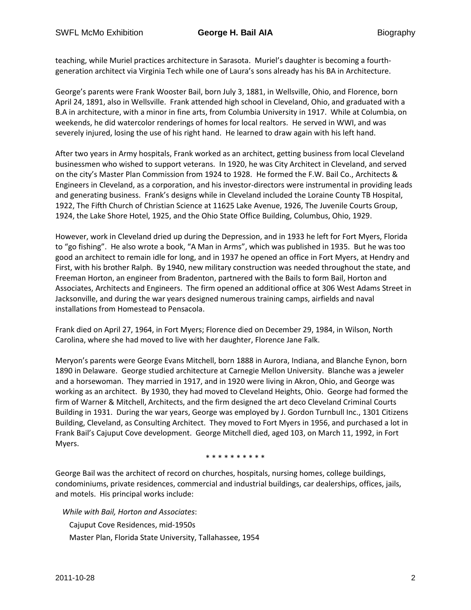teaching, while Muriel practices architecture in Sarasota. Muriel's daughter is becoming a fourthgeneration architect via Virginia Tech while one of Laura's sons already has his BA in Architecture.

George's parents were Frank Wooster Bail, born July 3, 1881, in Wellsville, Ohio, and Florence, born April 24, 1891, also in Wellsville. Frank attended high school in Cleveland, Ohio, and graduated with a B.A in architecture, with a minor in fine arts, from Columbia University in 1917. While at Columbia, on weekends, he did watercolor renderings of homes for local realtors. He served in WWI, and was severely injured, losing the use of his right hand. He learned to draw again with his left hand.

After two years in Army hospitals, Frank worked as an architect, getting business from local Cleveland businessmen who wished to support veterans. In 1920, he was City Architect in Cleveland, and served on the city's Master Plan Commission from 1924 to 1928. He formed the F.W. Bail Co., Architects & Engineers in Cleveland, as a corporation, and his investor-directors were instrumental in providing leads and generating business. Frank's designs while in Cleveland included the Loraine County TB Hospital, 1922, The Fifth Church of Christian Science at 11625 Lake Avenue, 1926, The Juvenile Courts Group, 1924, the Lake Shore Hotel, 1925, and the Ohio State Office Building, Columbus, Ohio, 1929.

However, work in Cleveland dried up during the Depression, and in 1933 he left for Fort Myers, Florida to "go fishing". He also wrote a book, "A Man in Arms", which was published in 1935. But he was too good an architect to remain idle for long, and in 1937 he opened an office in Fort Myers, at Hendry and First, with his brother Ralph. By 1940, new military construction was needed throughout the state, and Freeman Horton, an engineer from Bradenton, partnered with the Bails to form Bail, Horton and Associates, Architects and Engineers. The firm opened an additional office at 306 West Adams Street in Jacksonville, and during the war years designed numerous training camps, airfields and naval installations from Homestead to Pensacola.

Frank died on April 27, 1964, in Fort Myers; Florence died on December 29, 1984, in Wilson, North Carolina, where she had moved to live with her daughter, Florence Jane Falk.

Meryon's parents were George Evans Mitchell, born 1888 in Aurora, Indiana, and Blanche Eynon, born 1890 in Delaware. George studied architecture at Carnegie Mellon University. Blanche was a jeweler and a horsewoman. They married in 1917, and in 1920 were living in Akron, Ohio, and George was working as an architect. By 1930, they had moved to Cleveland Heights, Ohio. George had formed the firm of Warner & Mitchell, Architects, and the firm designed the art deco Cleveland Criminal Courts Building in 1931. During the war years, George was employed by J. Gordon Turnbull Inc., 1301 Citizens Building, Cleveland, as Consulting Architect. They moved to Fort Myers in 1956, and purchased a lot in Frank Bail's Cajuput Cove development. George Mitchell died, aged 103, on March 11, 1992, in Fort Myers.

\* \* \* \* \* \* \* \* \*

George Bail was the architect of record on churches, hospitals, nursing homes, college buildings, condominiums, private residences, commercial and industrial buildings, car dealerships, offices, jails, and motels. His principal works include:

*While with Bail, Horton and Associates*: Cajuput Cove Residences, mid-1950s Master Plan, Florida State University, Tallahassee, 1954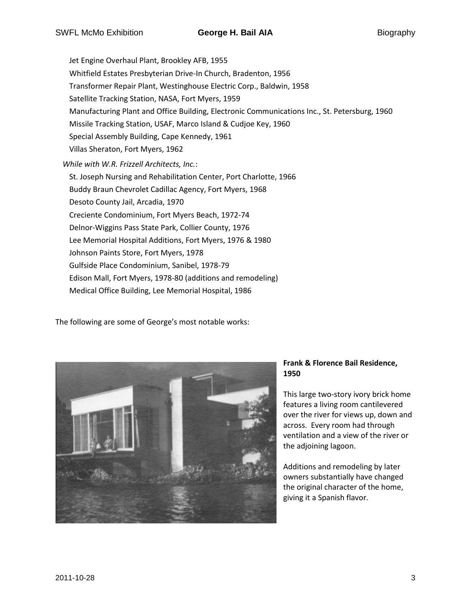Jet Engine Overhaul Plant, Brookley AFB, 1955 Whitfield Estates Presbyterian Drive-In Church, Bradenton, 1956 Transformer Repair Plant, Westinghouse Electric Corp., Baldwin, 1958 Satellite Tracking Station, NASA, Fort Myers, 1959 Manufacturing Plant and Office Building, Electronic Communications Inc., St. Petersburg, 1960 Missile Tracking Station, USAF, Marco Island & Cudjoe Key, 1960 Special Assembly Building, Cape Kennedy, 1961 Villas Sheraton, Fort Myers, 1962 *While with W.R. Frizzell Architects, Inc.*: St. Joseph Nursing and Rehabilitation Center, Port Charlotte, 1966 Buddy Braun Chevrolet Cadillac Agency, Fort Myers, 1968 Desoto County Jail, Arcadia, 1970 Creciente Condominium, Fort Myers Beach, 1972-74 Delnor-Wiggins Pass State Park, Collier County, 1976 Lee Memorial Hospital Additions, Fort Myers, 1976 & 1980 Johnson Paints Store, Fort Myers, 1978 Gulfside Place Condominium, Sanibel, 1978-79 Edison Mall, Fort Myers, 1978-80 (additions and remodeling) Medical Office Building, Lee Memorial Hospital, 1986

The following are some of George's most notable works:



## **Frank & Florence Bail Residence, 1950**

This large two-story ivory brick home features a living room cantilevered over the river for views up, down and across. Every room had through ventilation and a view of the river or the adjoining lagoon.

Additions and remodeling by later owners substantially have changed the original character of the home, giving it a Spanish flavor.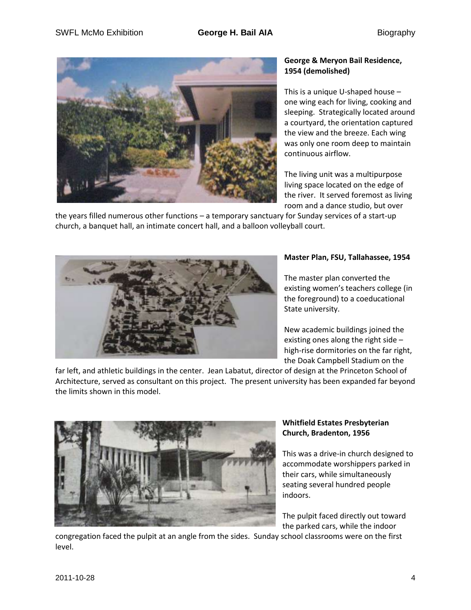

## **George & Meryon Bail Residence, 1954 (demolished)**

This is a unique U-shaped house – one wing each for living, cooking and sleeping. Strategically located around a courtyard, the orientation captured the view and the breeze. Each wing was only one room deep to maintain continuous airflow.

The living unit was a multipurpose living space located on the edge of the river. It served foremost as living room and a dance studio, but over

the years filled numerous other functions – a temporary sanctuary for Sunday services of a start-up church, a banquet hall, an intimate concert hall, and a balloon volleyball court.



## **Master Plan, FSU, Tallahassee, 1954**

The master plan converted the existing women's teachers college (in the foreground) to a coeducational State university.

New academic buildings joined the existing ones along the right side – high-rise dormitories on the far right, the Doak Campbell Stadium on the

far left, and athletic buildings in the center. Jean Labatut, director of design at the Princeton School of Architecture, served as consultant on this project. The present university has been expanded far beyond the limits shown in this model.



# **Whitfield Estates Presbyterian Church, Bradenton, 1956**

This was a drive-in church designed to accommodate worshippers parked in their cars, while simultaneously seating several hundred people indoors.

The pulpit faced directly out toward the parked cars, while the indoor

congregation faced the pulpit at an angle from the sides. Sunday school classrooms were on the first level.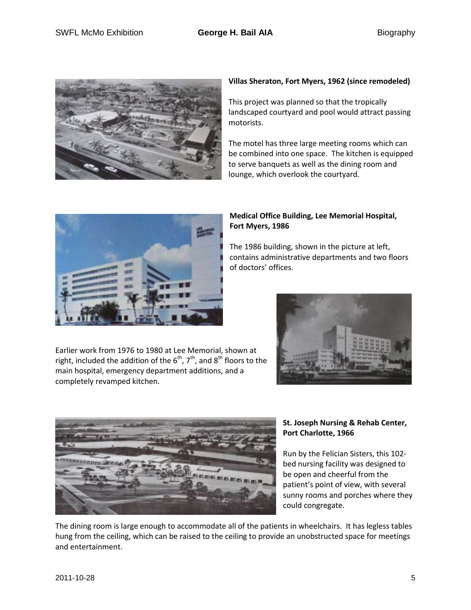

#### **Villas Sheraton, Fort Myers, 1962 (since remodeled)**

This project was planned so that the tropically landscaped courtyard and pool would attract passing motorists.

The motel has three large meeting rooms which can be combined into one space. The kitchen is equipped to serve banquets as well as the dining room and lounge, which overlook the courtyard.



The 1986 building, shown in the picture at left, contains administrative departments and two floors of doctors' offices.

Earlier work from 1976 to 1980 at Lee Memorial, shown at right, included the addition of the  $6<sup>th</sup>$ ,  $7<sup>th</sup>$ , and  $8<sup>th</sup>$  floors to the main hospital, emergency department additions, and a completely revamped kitchen.





#### **St. Joseph Nursing & Rehab Center, Port Charlotte, 1966**

Run by the Felician Sisters, this 102 bed nursing facility was designed to be open and cheerful from the patient's point of view, with several sunny rooms and porches where they could congregate.

The dining room is large enough to accommodate all of the patients in wheelchairs. It has legless tables hung from the ceiling, which can be raised to the ceiling to provide an unobstructed space for meetings and entertainment.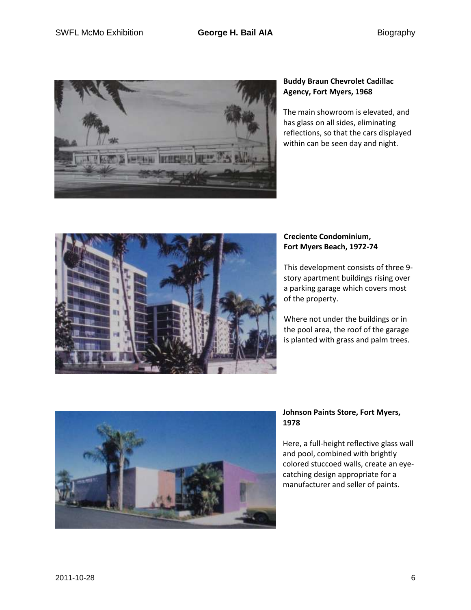

## **Buddy Braun Chevrolet Cadillac Agency, Fort Myers, 1968**

The main showroom is elevated, and has glass on all sides, eliminating reflections, so that the cars displayed within can be seen day and night.



### **Creciente Condominium, Fort Myers Beach, 1972-74**

This development consists of three 9 story apartment buildings rising over a parking garage which covers most of the property.

Where not under the buildings or in the pool area, the roof of the garage is planted with grass and palm trees.



#### **Johnson Paints Store, Fort Myers, 1978**

Here, a full-height reflective glass wall and pool, combined with brightly colored stuccoed walls, create an eyecatching design appropriate for a manufacturer and seller of paints.